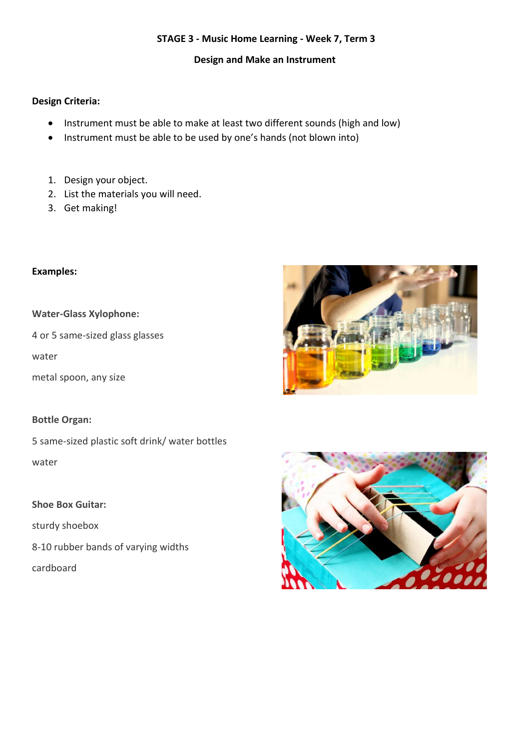### **STAGE 3 - Music Home Learning - Week 7, Term 3**

**Design and Make an Instrument**

### **Design Criteria:**

- Instrument must be able to make at least two different sounds (high and low)
- Instrument must be able to be used by one's hands (not blown into)
- 1. Design your object.
- 2. List the materials you will need.
- 3. Get making!

### **Examples:**

### **Water-Glass Xylophone:**

4 or 5 same-sized glass glasses

water

metal spoon, any size

#### **Bottle Organ:**

5 same-sized plastic soft drink/ water bottles water

### **Shoe Box Guitar:**

sturdy shoebox

8-10 rubber bands of varying widths

cardboard



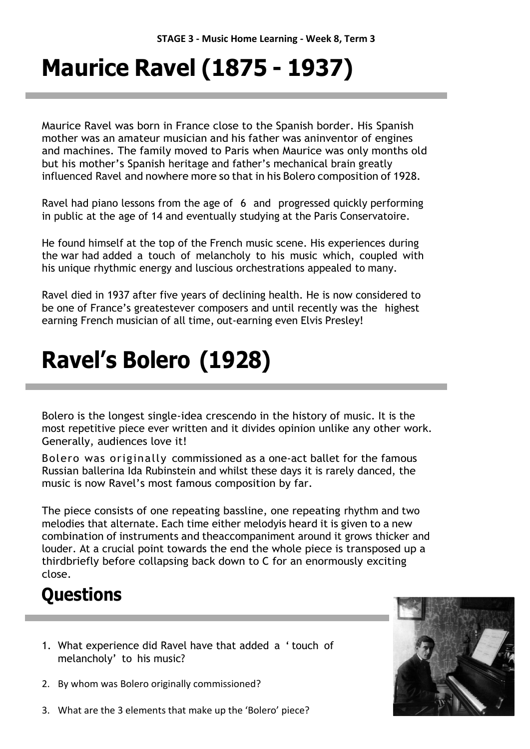# **Maurice Ravel (1875 - 1937)**

Maurice Ravel was born in France close to the Spanish border. His Spanish mother was an amateur musician and his father was aninventor of engines and machines. The family moved to Paris when Maurice was only months old but his mother's Spanish heritage and father's mechanical brain greatly influenced Ravel and nowhere more so that in his Bolero composition of 1928.

Ravel had piano lessons from the age of 6 and progressed quickly performing in public at the age of 14 and eventually studying at the Paris Conservatoire.

He found himself at the top of the French music scene. His experiences during the war had added a touch of melancholy to his music which, coupled with his unique rhythmic energy and luscious orchestrations appealed to many.

Ravel died in 1937 after five years of declining health. He is now considered to be one of France's greatestever composers and until recently was the highest earning French musician of all time, out-earning even Elvis Presley!

# **Ravel's Bolero (1928)**

Bolero is the longest single-idea crescendo in the history of music. It is the most repetitive piece ever written and it divides opinion unlike any other work. Generally, audiences love it!

Bolero was originally commissioned as a one-act ballet for the famous Russian ballerina Ida Rubinstein and whilst these days it is rarely danced, the music is now Ravel's most famous composition by far.

The piece consists of one repeating bassline, one repeating rhythm and two melodies that alternate. Each time either melodyis heard it is given to a new combination of instruments and theaccompaniment around it grows thicker and louder. At a crucial point towards the end the whole piece is transposed up a thirdbriefly before collapsing back down to C for an enormously exciting close.

## **Questions**

- 1. What experience did Ravel have that added a ' touch of melancholy' to his music?
- 2. By whom was Bolero originally commissioned?



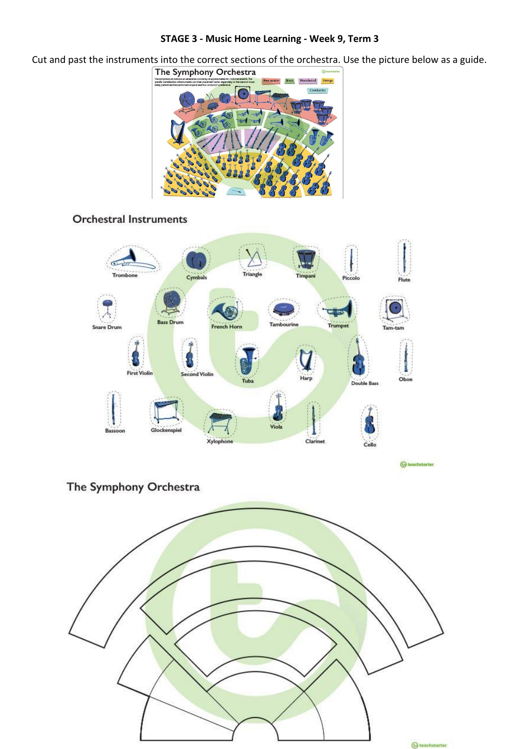#### **STAGE 3 - Music Home Learning - Week 9, Term 3**

Cut and past the instruments into the correct sections of the orchestra. Use the picture below as a guide.<br>
The Symphony Orchestra



### **Orchestral Instruments**



**G** teachstarter

The Symphony Orchestra